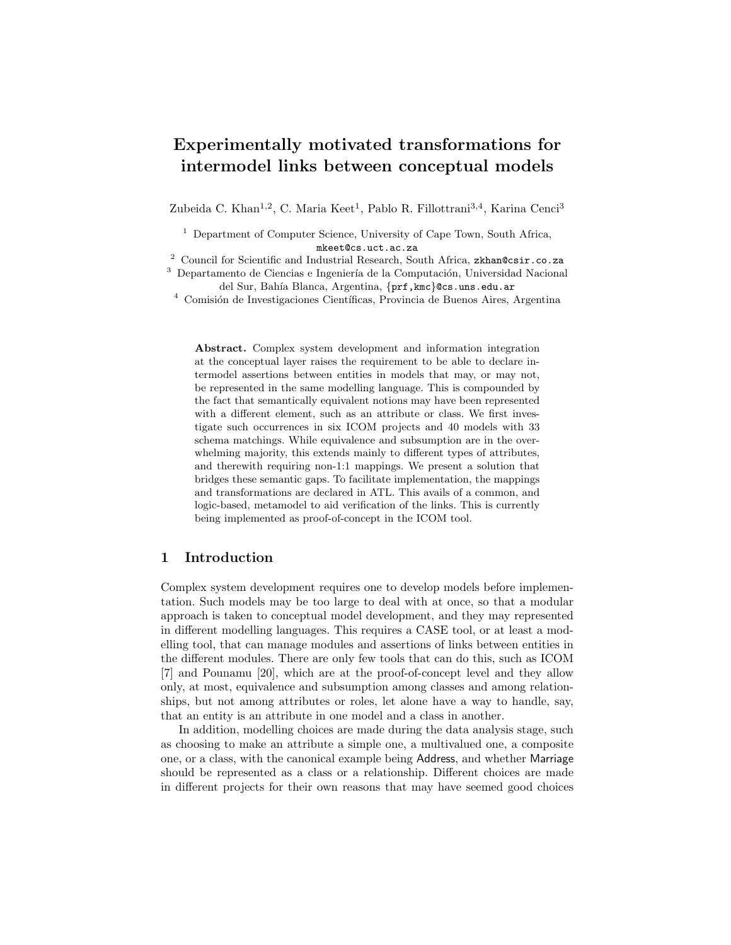# Experimentally motivated transformations for intermodel links between conceptual models

Zubeida C. Khan<sup>1,2</sup>, C. Maria Keet<sup>1</sup>, Pablo R. Fillottrani<sup>3,4</sup>, Karina Cenci<sup>3</sup>

<sup>1</sup> Department of Computer Science, University of Cape Town, South Africa, mkeet@cs.uct.ac.za

<sup>2</sup> Council for Scientific and Industrial Research, South Africa, zkhan@csir.co.za

 $^3\,$  Departamento de Ciencias e Ingeniería de la Computación, Universidad Nacional del Sur, Bahía Blanca, Argentina, {prf, kmc}@cs.uns.edu.ar

<sup>4</sup> Comisión de Investigaciones Científicas, Provincia de Buenos Aires, Argentina

Abstract. Complex system development and information integration at the conceptual layer raises the requirement to be able to declare intermodel assertions between entities in models that may, or may not, be represented in the same modelling language. This is compounded by the fact that semantically equivalent notions may have been represented with a different element, such as an attribute or class. We first investigate such occurrences in six ICOM projects and 40 models with 33 schema matchings. While equivalence and subsumption are in the overwhelming majority, this extends mainly to different types of attributes, and therewith requiring non-1:1 mappings. We present a solution that bridges these semantic gaps. To facilitate implementation, the mappings and transformations are declared in ATL. This avails of a common, and logic-based, metamodel to aid verification of the links. This is currently being implemented as proof-of-concept in the ICOM tool.

# 1 Introduction

Complex system development requires one to develop models before implementation. Such models may be too large to deal with at once, so that a modular approach is taken to conceptual model development, and they may represented in different modelling languages. This requires a CASE tool, or at least a modelling tool, that can manage modules and assertions of links between entities in the different modules. There are only few tools that can do this, such as ICOM [7] and Pounamu [20], which are at the proof-of-concept level and they allow only, at most, equivalence and subsumption among classes and among relationships, but not among attributes or roles, let alone have a way to handle, say, that an entity is an attribute in one model and a class in another.

In addition, modelling choices are made during the data analysis stage, such as choosing to make an attribute a simple one, a multivalued one, a composite one, or a class, with the canonical example being Address, and whether Marriage should be represented as a class or a relationship. Different choices are made in different projects for their own reasons that may have seemed good choices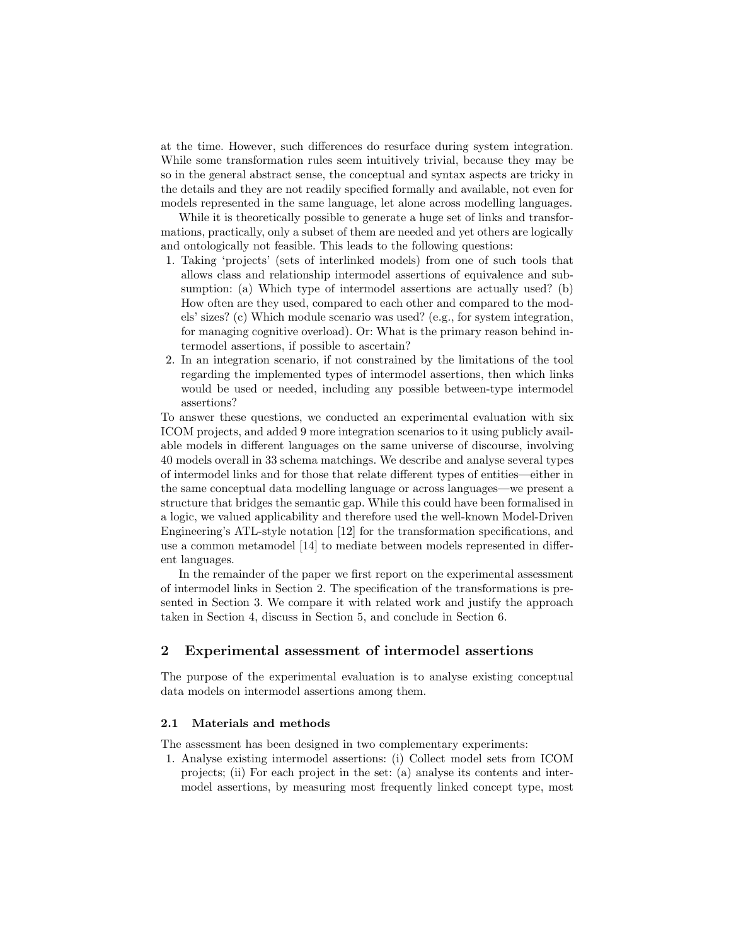at the time. However, such differences do resurface during system integration. While some transformation rules seem intuitively trivial, because they may be so in the general abstract sense, the conceptual and syntax aspects are tricky in the details and they are not readily specified formally and available, not even for models represented in the same language, let alone across modelling languages.

While it is theoretically possible to generate a huge set of links and transformations, practically, only a subset of them are needed and yet others are logically and ontologically not feasible. This leads to the following questions:

- 1. Taking 'projects' (sets of interlinked models) from one of such tools that allows class and relationship intermodel assertions of equivalence and subsumption: (a) Which type of intermodel assertions are actually used? (b) How often are they used, compared to each other and compared to the models' sizes? (c) Which module scenario was used? (e.g., for system integration, for managing cognitive overload). Or: What is the primary reason behind intermodel assertions, if possible to ascertain?
- 2. In an integration scenario, if not constrained by the limitations of the tool regarding the implemented types of intermodel assertions, then which links would be used or needed, including any possible between-type intermodel assertions?

To answer these questions, we conducted an experimental evaluation with six ICOM projects, and added 9 more integration scenarios to it using publicly available models in different languages on the same universe of discourse, involving 40 models overall in 33 schema matchings. We describe and analyse several types of intermodel links and for those that relate different types of entities—either in the same conceptual data modelling language or across languages—we present a structure that bridges the semantic gap. While this could have been formalised in a logic, we valued applicability and therefore used the well-known Model-Driven Engineering's ATL-style notation [12] for the transformation specifications, and use a common metamodel [14] to mediate between models represented in different languages.

In the remainder of the paper we first report on the experimental assessment of intermodel links in Section 2. The specification of the transformations is presented in Section 3. We compare it with related work and justify the approach taken in Section 4, discuss in Section 5, and conclude in Section 6.

## 2 Experimental assessment of intermodel assertions

The purpose of the experimental evaluation is to analyse existing conceptual data models on intermodel assertions among them.

#### 2.1 Materials and methods

The assessment has been designed in two complementary experiments:

1. Analyse existing intermodel assertions: (i) Collect model sets from ICOM projects; (ii) For each project in the set: (a) analyse its contents and intermodel assertions, by measuring most frequently linked concept type, most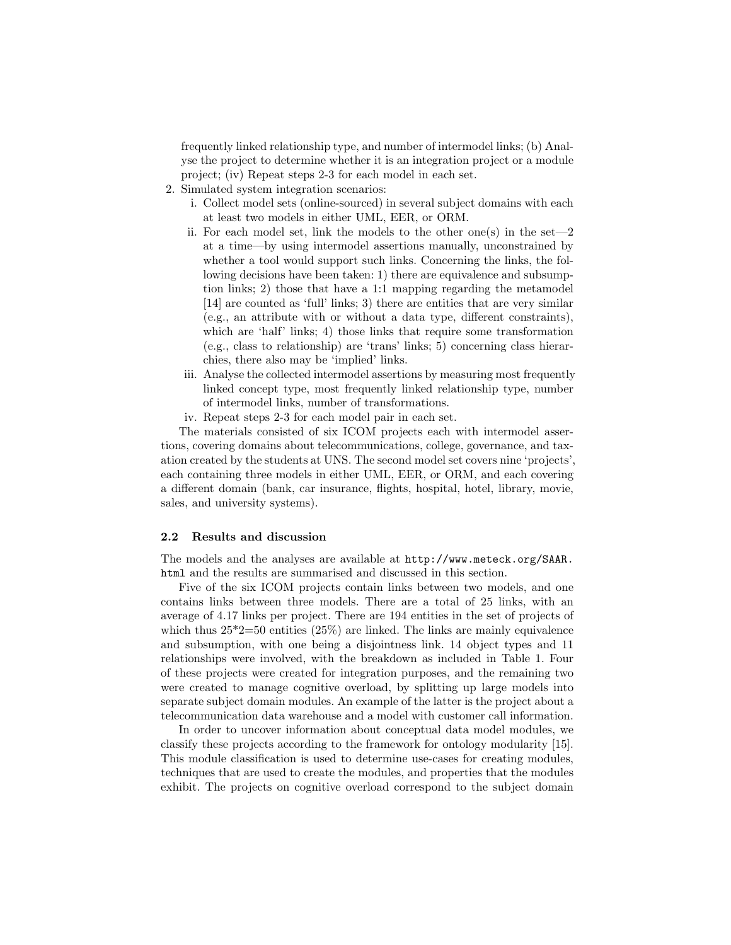frequently linked relationship type, and number of intermodel links; (b) Analyse the project to determine whether it is an integration project or a module project; (iv) Repeat steps 2-3 for each model in each set.

- 2. Simulated system integration scenarios:
	- i. Collect model sets (online-sourced) in several subject domains with each at least two models in either UML, EER, or ORM.
	- ii. For each model set, link the models to the other one(s) in the set  $-2$ at a time—by using intermodel assertions manually, unconstrained by whether a tool would support such links. Concerning the links, the following decisions have been taken: 1) there are equivalence and subsumption links; 2) those that have a 1:1 mapping regarding the metamodel [14] are counted as 'full' links; 3) there are entities that are very similar (e.g., an attribute with or without a data type, different constraints), which are 'half' links; 4) those links that require some transformation (e.g., class to relationship) are 'trans' links; 5) concerning class hierarchies, there also may be 'implied' links.
	- iii. Analyse the collected intermodel assertions by measuring most frequently linked concept type, most frequently linked relationship type, number of intermodel links, number of transformations.
	- iv. Repeat steps 2-3 for each model pair in each set.

The materials consisted of six ICOM projects each with intermodel assertions, covering domains about telecommunications, college, governance, and taxation created by the students at UNS. The second model set covers nine 'projects', each containing three models in either UML, EER, or ORM, and each covering a different domain (bank, car insurance, flights, hospital, hotel, library, movie, sales, and university systems).

#### 2.2 Results and discussion

The models and the analyses are available at http://www.meteck.org/SAAR. html and the results are summarised and discussed in this section.

Five of the six ICOM projects contain links between two models, and one contains links between three models. There are a total of 25 links, with an average of 4.17 links per project. There are 194 entities in the set of projects of which thus  $25^*2=50$  entities (25%) are linked. The links are mainly equivalence and subsumption, with one being a disjointness link. 14 object types and 11 relationships were involved, with the breakdown as included in Table 1. Four of these projects were created for integration purposes, and the remaining two were created to manage cognitive overload, by splitting up large models into separate subject domain modules. An example of the latter is the project about a telecommunication data warehouse and a model with customer call information.

In order to uncover information about conceptual data model modules, we classify these projects according to the framework for ontology modularity [15]. This module classification is used to determine use-cases for creating modules, techniques that are used to create the modules, and properties that the modules exhibit. The projects on cognitive overload correspond to the subject domain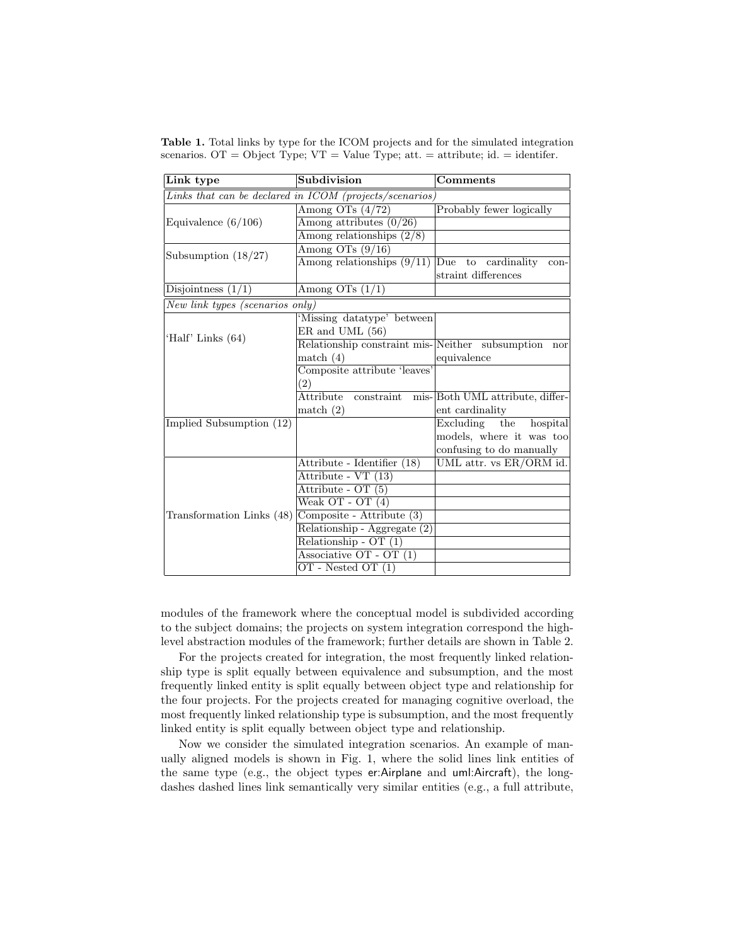Table 1. Total links by type for the ICOM projects and for the simulated integration scenarios.  $OT = Object Type$ ;  $VT = Value Type$ ; att.  $=$  attribute; id.  $=$  identifer.

| Link type                                                                   | Subdivision                                         | Comments                        |  |  |  |  |
|-----------------------------------------------------------------------------|-----------------------------------------------------|---------------------------------|--|--|--|--|
| $\overline{Links\ that\ can\ be\ declared\ in\ ICOM\ (projects/scenarios)}$ |                                                     |                                 |  |  |  |  |
| Equivalence $(6/106)$                                                       | Among OTs $(4/72)$                                  | Probably fewer logically        |  |  |  |  |
|                                                                             | Among attributes $(0/26)$                           |                                 |  |  |  |  |
|                                                                             | Among relationships $(2/8)$                         |                                 |  |  |  |  |
| Subsumption $(18/27)$                                                       | Among OTs $(9/16)$                                  |                                 |  |  |  |  |
|                                                                             | Among relationships $(9/11)$                        | Due to cardinality<br>con-      |  |  |  |  |
|                                                                             |                                                     | straint differences             |  |  |  |  |
| Disjointness $(1/1)$                                                        | Among OTs $(1/1)$                                   |                                 |  |  |  |  |
| New link types (scenarios only)                                             |                                                     |                                 |  |  |  |  |
| 'Half' Links (64)                                                           | 'Missing datatype' between                          |                                 |  |  |  |  |
|                                                                             | $ER$ and $UML$ (56)                                 |                                 |  |  |  |  |
|                                                                             | Relationship constraint mis-Neither subsumption nor |                                 |  |  |  |  |
|                                                                             | match $(4)$                                         | equivalence                     |  |  |  |  |
|                                                                             | Composite attribute 'leaves'                        |                                 |  |  |  |  |
|                                                                             | (2)                                                 |                                 |  |  |  |  |
|                                                                             | Attribute<br>constraint                             | mis-Both UML attribute, differ- |  |  |  |  |
|                                                                             | match (2)                                           | ent cardinality                 |  |  |  |  |
| Implied Subsumption (12)                                                    |                                                     | Excluding the hospital          |  |  |  |  |
|                                                                             |                                                     | models, where it was too        |  |  |  |  |
|                                                                             |                                                     | confusing to do manually        |  |  |  |  |
| Transformation Links (48)                                                   | Attribute - Identifier (18)                         | UML attr. vs ER/ORM id.         |  |  |  |  |
|                                                                             | Attribute - VT (13)                                 |                                 |  |  |  |  |
|                                                                             | Attribute - $OT(5)$                                 |                                 |  |  |  |  |
|                                                                             | Weak OT - OT $(4)$                                  |                                 |  |  |  |  |
|                                                                             | Composite - Attribute (3)                           |                                 |  |  |  |  |
|                                                                             | Relationship - Aggregate (2)                        |                                 |  |  |  |  |
|                                                                             | Relationship - OT $(1)$                             |                                 |  |  |  |  |
|                                                                             | Associative OT - OT $(1)$                           |                                 |  |  |  |  |
|                                                                             | OT - Nested OT (1)                                  |                                 |  |  |  |  |

modules of the framework where the conceptual model is subdivided according to the subject domains; the projects on system integration correspond the highlevel abstraction modules of the framework; further details are shown in Table 2.

For the projects created for integration, the most frequently linked relationship type is split equally between equivalence and subsumption, and the most frequently linked entity is split equally between object type and relationship for the four projects. For the projects created for managing cognitive overload, the most frequently linked relationship type is subsumption, and the most frequently linked entity is split equally between object type and relationship.

Now we consider the simulated integration scenarios. An example of manually aligned models is shown in Fig. 1, where the solid lines link entities of the same type (e.g., the object types er:Airplane and uml:Aircraft), the longdashes dashed lines link semantically very similar entities (e.g., a full attribute,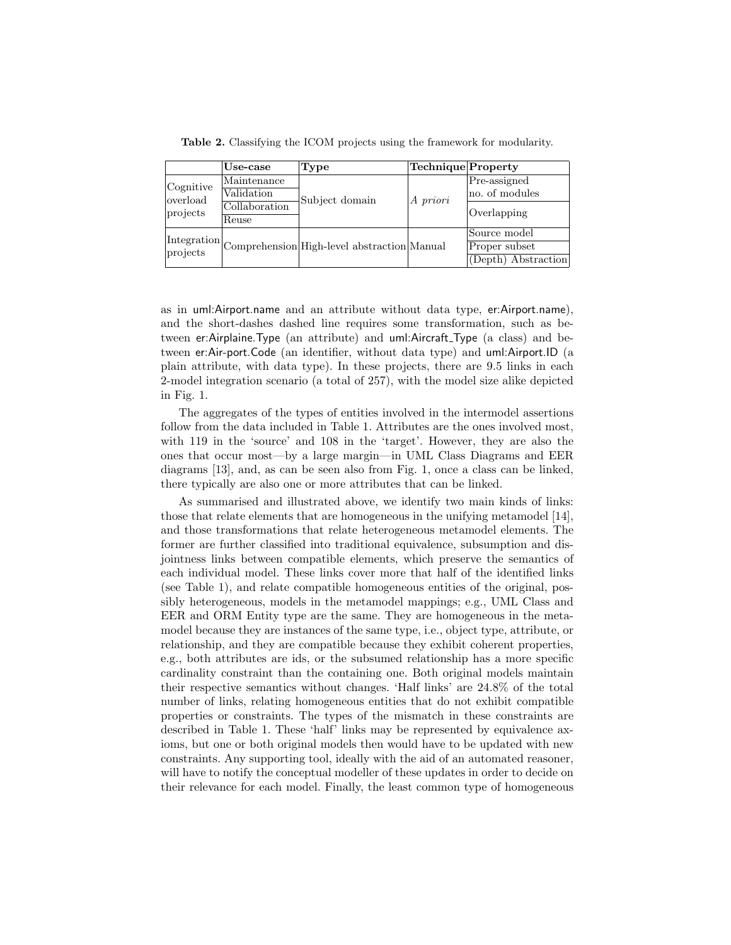|                                   | Use-case      | Type                                        | Technique Property |                     |
|-----------------------------------|---------------|---------------------------------------------|--------------------|---------------------|
| Cognitive<br>overload<br>projects | Maintenance   | Subject domain                              | A priori           | Pre-assigned        |
|                                   | Validation    |                                             |                    | no. of modules      |
|                                   | Collaboration |                                             |                    | Overlapping         |
|                                   | Reuse         |                                             |                    |                     |
| Integration<br>projects           |               | Comprehension High-level abstraction Manual |                    | Source model        |
|                                   |               |                                             |                    | Proper subset       |
|                                   |               |                                             |                    | (Depth) Abstraction |

Table 2. Classifying the ICOM projects using the framework for modularity.

as in uml:Airport.name and an attribute without data type, er:Airport.name), and the short-dashes dashed line requires some transformation, such as between er:Airplaine.Type (an attribute) and uml:Aircraft Type (a class) and between er:Air-port.Code (an identifier, without data type) and uml:Airport.ID (a plain attribute, with data type). In these projects, there are 9.5 links in each 2-model integration scenario (a total of 257), with the model size alike depicted in Fig. 1.

The aggregates of the types of entities involved in the intermodel assertions follow from the data included in Table 1. Attributes are the ones involved most, with 119 in the 'source' and 108 in the 'target'. However, they are also the ones that occur most—by a large margin—in UML Class Diagrams and EER diagrams [13], and, as can be seen also from Fig. 1, once a class can be linked, there typically are also one or more attributes that can be linked.

As summarised and illustrated above, we identify two main kinds of links: those that relate elements that are homogeneous in the unifying metamodel [14], and those transformations that relate heterogeneous metamodel elements. The former are further classified into traditional equivalence, subsumption and disjointness links between compatible elements, which preserve the semantics of each individual model. These links cover more that half of the identified links (see Table 1), and relate compatible homogeneous entities of the original, possibly heterogeneous, models in the metamodel mappings; e.g., UML Class and EER and ORM Entity type are the same. They are homogeneous in the metamodel because they are instances of the same type, i.e., object type, attribute, or relationship, and they are compatible because they exhibit coherent properties, e.g., both attributes are ids, or the subsumed relationship has a more specific cardinality constraint than the containing one. Both original models maintain their respective semantics without changes. 'Half links' are 24.8% of the total number of links, relating homogeneous entities that do not exhibit compatible properties or constraints. The types of the mismatch in these constraints are described in Table 1. These 'half' links may be represented by equivalence axioms, but one or both original models then would have to be updated with new constraints. Any supporting tool, ideally with the aid of an automated reasoner, will have to notify the conceptual modeller of these updates in order to decide on their relevance for each model. Finally, the least common type of homogeneous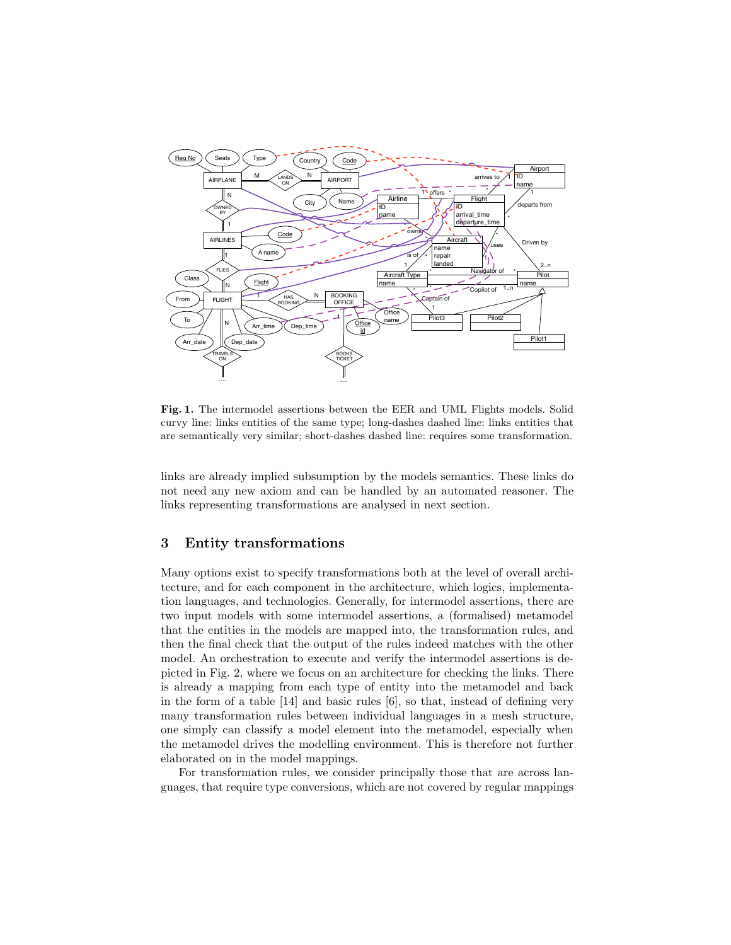

Fig. 1. The intermodel assertions between the EER and UML Flights models. Solid curvy line: links entities of the same type; long-dashes dashed line: links entities that are semantically very similar; short-dashes dashed line: requires some transformation.

links are already implied subsumption by the models semantics. These links do not need any new axiom and can be handled by an automated reasoner. The links representing transformations are analysed in next section.

# 3 Entity transformations

Many options exist to specify transformations both at the level of overall architecture, and for each component in the architecture, which logics, implementation languages, and technologies. Generally, for intermodel assertions, there are two input models with some intermodel assertions, a (formalised) metamodel that the entities in the models are mapped into, the transformation rules, and then the final check that the output of the rules indeed matches with the other model. An orchestration to execute and verify the intermodel assertions is depicted in Fig. 2, where we focus on an architecture for checking the links. There is already a mapping from each type of entity into the metamodel and back in the form of a table [14] and basic rules [6], so that, instead of defining very many transformation rules between individual languages in a mesh structure, one simply can classify a model element into the metamodel, especially when the metamodel drives the modelling environment. This is therefore not further elaborated on in the model mappings.

For transformation rules, we consider principally those that are across languages, that require type conversions, which are not covered by regular mappings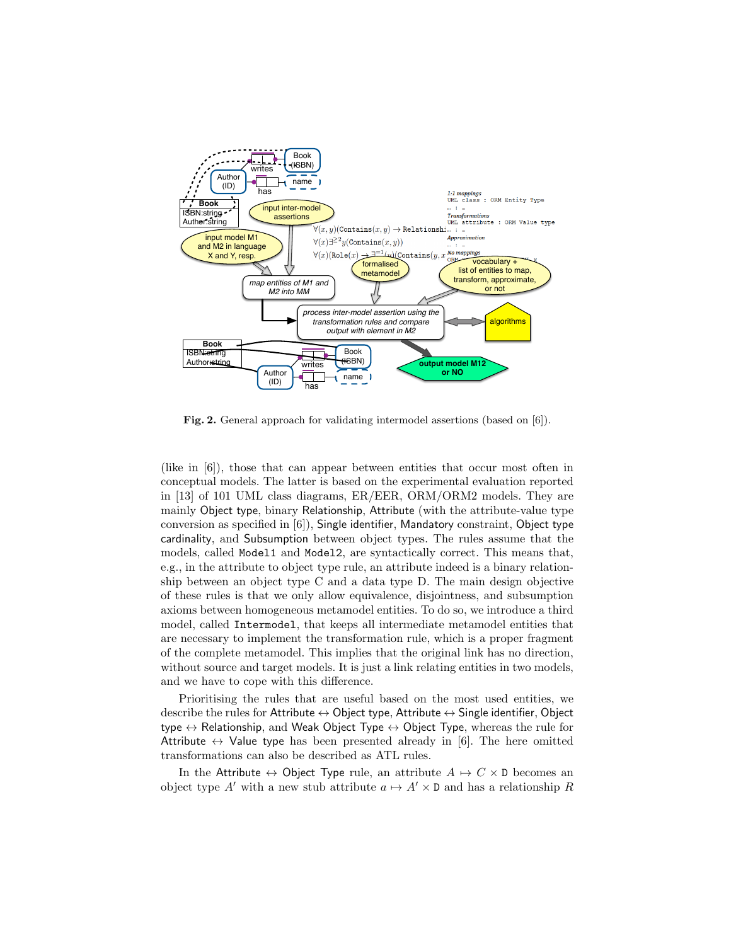

Fig. 2. General approach for validating intermodel assertions (based on [6]).

(like in [6]), those that can appear between entities that occur most often in conceptual models. The latter is based on the experimental evaluation reported in [13] of 101 UML class diagrams, ER/EER, ORM/ORM2 models. They are mainly Object type, binary Relationship, Attribute (with the attribute-value type conversion as specified in [6]), Single identifier, Mandatory constraint, Object type cardinality, and Subsumption between object types. The rules assume that the models, called Model1 and Model2, are syntactically correct. This means that, e.g., in the attribute to object type rule, an attribute indeed is a binary relationship between an object type C and a data type D. The main design objective of these rules is that we only allow equivalence, disjointness, and subsumption axioms between homogeneous metamodel entities. To do so, we introduce a third model, called Intermodel, that keeps all intermediate metamodel entities that are necessary to implement the transformation rule, which is a proper fragment of the complete metamodel. This implies that the original link has no direction, without source and target models. It is just a link relating entities in two models, and we have to cope with this difference.

Prioritising the rules that are useful based on the most used entities, we describe the rules for Attribute  $\leftrightarrow$  Object type, Attribute  $\leftrightarrow$  Single identifier, Object type  $\leftrightarrow$  Relationship, and Weak Object Type  $\leftrightarrow$  Object Type, whereas the rule for Attribute  $\leftrightarrow$  Value type has been presented already in [6]. The here omitted transformations can also be described as ATL rules.

In the Attribute  $\leftrightarrow$  Object Type rule, an attribute  $A \mapsto C \times D$  becomes an object type A' with a new stub attribute  $a \mapsto A' \times D$  and has a relationship R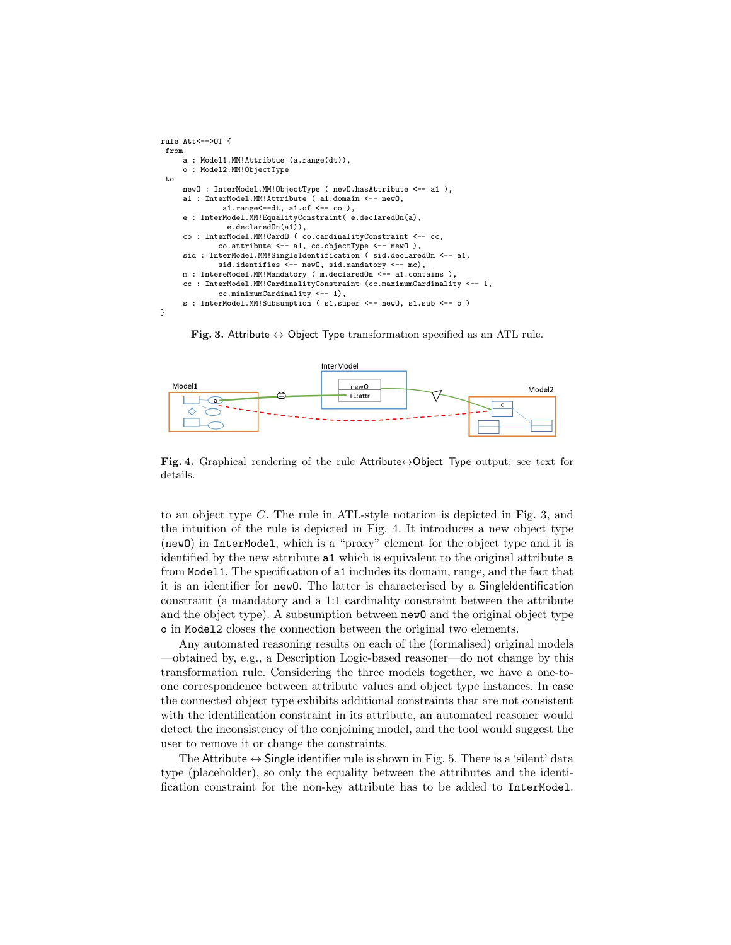```
rule Att<-->OT {
from
     a : Model1.MM!Attribtue (a.range(dt)),
     o : Model2.MM!ObjectType
 to
     newO : InterModel.MM!ObjectType ( newO.hasAttribute <-- a1 ),
    a1 : InterModel.MM!Attribute ( a1.domain <-- newO,
              a1.range<--dt, a1.of <-- co ),
     e : InterModel.MM!EqualityConstraint( e.declaredOn(a),
               e.declaredOn(a1)),
     co : InterModel.MM!CardO ( co.cardinalityConstraint <-- cc,
             co.attribute <-- a1, co.objectType <-- newO ),
     sid : InterModel.MM!SingleIdentification ( sid.declaredOn <-- a1,
            sid.identifies <-- newO, sid.mandatory <-- mc),
     m : IntereModel.MM!Mandatory ( m.declaredOn <-- a1.contains ),
     cc : InterModel.MM!CardinalityConstraint (cc.maximumCardinality <-- 1,
            cc.minimumCardinality <-- 1),
     s : InterModel.MM!Subsumption ( s1.super <-- newO, s1.sub <-- o )
}
```
Fig. 3. Attribute  $\leftrightarrow$  Object Type transformation specified as an ATL rule.



Fig. 4. Graphical rendering of the rule Attribute $\leftrightarrow$ Object Type output; see text for details.

to an object type C. The rule in ATL-style notation is depicted in Fig. 3, and the intuition of the rule is depicted in Fig. 4. It introduces a new object type (newO) in InterModel, which is a "proxy" element for the object type and it is identified by the new attribute a1 which is equivalent to the original attribute a from Model1. The specification of a1 includes its domain, range, and the fact that it is an identifier for  $new0$ . The latter is characterised by a Singlel dentification constraint (a mandatory and a 1:1 cardinality constraint between the attribute and the object type). A subsumption between newO and the original object type o in Model2 closes the connection between the original two elements.

Any automated reasoning results on each of the (formalised) original models —obtained by, e.g., a Description Logic-based reasoner—do not change by this transformation rule. Considering the three models together, we have a one-toone correspondence between attribute values and object type instances. In case the connected object type exhibits additional constraints that are not consistent with the identification constraint in its attribute, an automated reasoner would detect the inconsistency of the conjoining model, and the tool would suggest the user to remove it or change the constraints.

The Attribute  $\leftrightarrow$  Single identifier rule is shown in Fig. 5. There is a 'silent' data type (placeholder), so only the equality between the attributes and the identification constraint for the non-key attribute has to be added to InterModel.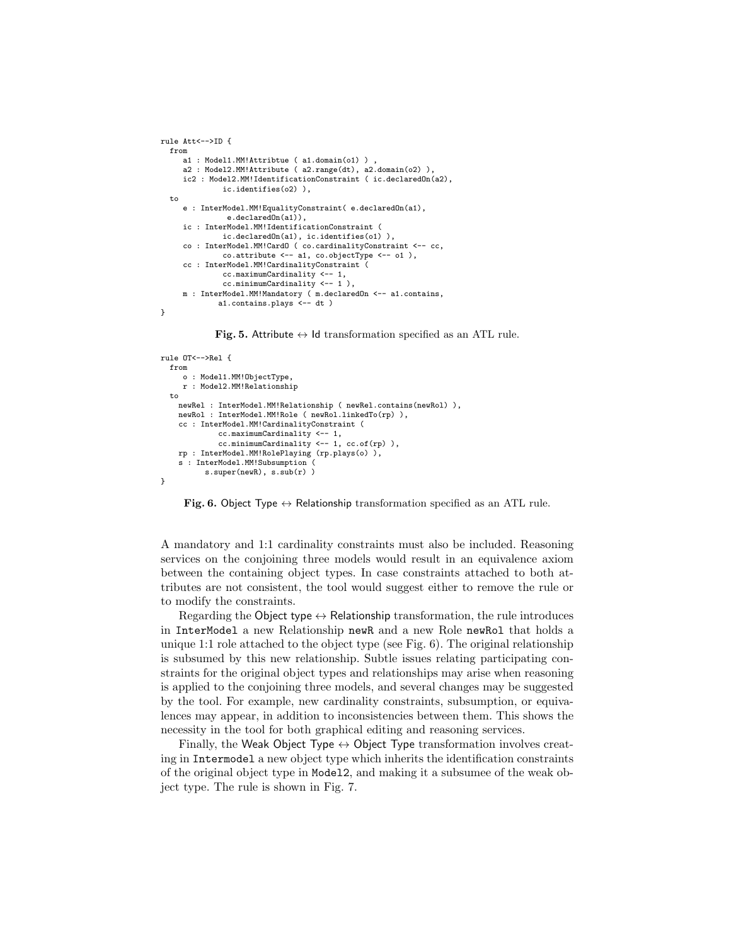```
rule Att<-->ID {
 from
     a1 : Model1.MM!Attribtue ( a1.domain(o1) ) ,
     a2 : Model2.MM!Attribute ( a2.range(dt), a2.domain(o2) ),
     ic2 : Model2.MM!IdentificationConstraint ( ic.declaredOn(a2),
               ic.identifies(o2) ),
 to
     e : InterModel.MM!EqualityConstraint( e.declaredOn(a1),
               e.declaredOn(a1)),
     ic : InterModel.MM!IdentificationConstraint (
               ic.declaredOn(a1), ic.identifies(o1) ),
     co : InterModel.MM!CardO ( co.cardinalityConstraint <-- cc,
              \text{co}.\text{attribute} \leftarrow \text{a1}, \text{co}.\text{objectType} \leftarrow \text{o1}),
     cc : InterModel.MM!CardinalityConstraint (
              cc.maximumCardinality <-- 1,
               cc.minimumCardinality <-- 1),
     m : InterModel.MM!Mandatory (m.declaredOn <-- a1.contains,
             a1.contains.plays <-- dt )
}
```
Fig. 5. Attribute  $\leftrightarrow$  Id transformation specified as an ATL rule.

```
rule OT<-->Rel {
 from
    o : Model1.MM!ObjectType,
     r : Model2.MM!Relationship
 \mathbf{t}newRel : InterModel.MM!Relationship ( newRel.contains(newRol) ),
   newRol : InterModel.MM!Role ( newRol.linkedTo(rp) ),
   cc : InterModel.MM!CardinalityConstraint (
             cc.maximumCardinality <-- 1,
             cc.minimumCardinality <-- 1, cc.of(rp)),
   rp : InterModel.MM!RolePlaying (rp.plays(o) ),
   s : InterModel.MM!Subsumption (
          s.super(newR), s.sub(r) )
}
```
Fig. 6. Object Type  $\leftrightarrow$  Relationship transformation specified as an ATL rule.

A mandatory and 1:1 cardinality constraints must also be included. Reasoning services on the conjoining three models would result in an equivalence axiom between the containing object types. In case constraints attached to both attributes are not consistent, the tool would suggest either to remove the rule or to modify the constraints.

Regarding the Object type  $\leftrightarrow$  Relationship transformation, the rule introduces in InterModel a new Relationship newR and a new Role newRol that holds a unique 1:1 role attached to the object type (see Fig. 6). The original relationship is subsumed by this new relationship. Subtle issues relating participating constraints for the original object types and relationships may arise when reasoning is applied to the conjoining three models, and several changes may be suggested by the tool. For example, new cardinality constraints, subsumption, or equivalences may appear, in addition to inconsistencies between them. This shows the necessity in the tool for both graphical editing and reasoning services.

Finally, the Weak Object Type  $\leftrightarrow$  Object Type transformation involves creating in Intermodel a new object type which inherits the identification constraints of the original object type in Model2, and making it a subsumee of the weak object type. The rule is shown in Fig. 7.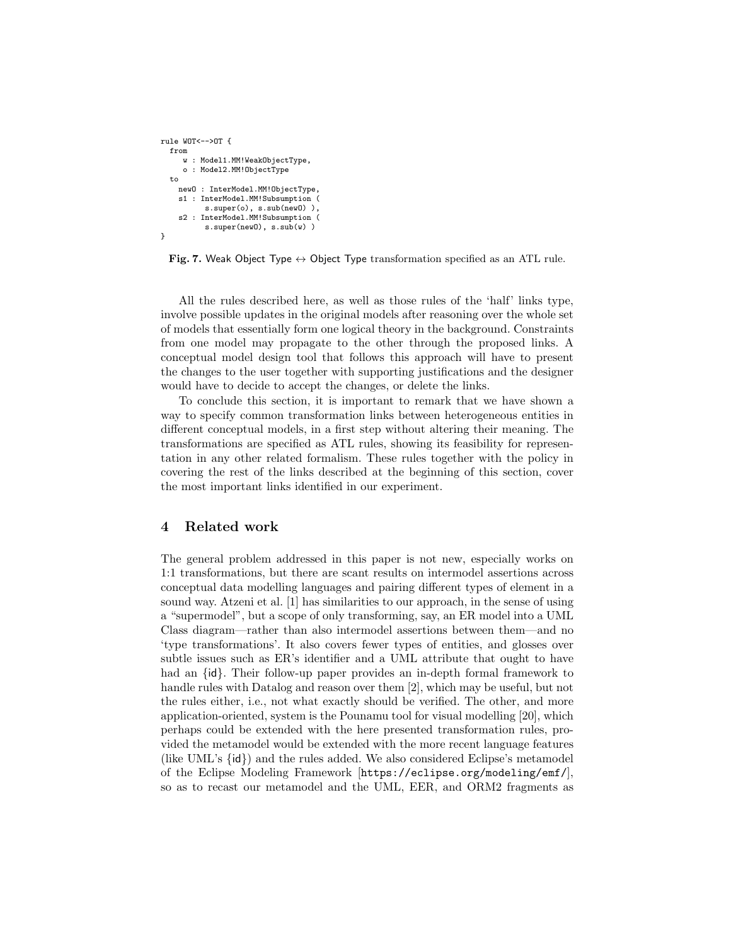```
rule WOT<-->OT {
 from
     w : Model1.MM!WeakObjectType,
     o : Model2.MM!ObjectType
  \overline{t}newO : InterModel.MM!ObjectType,
    s1 : InterModel.MM!Subsumption (
          s.super(o), s.sub(newD)),
    s2 : InterModel.MM!Subsumption (
          s.super(newO), s.sub(w) )
}
```
Fig. 7. Weak Object Type  $\leftrightarrow$  Object Type transformation specified as an ATL rule.

All the rules described here, as well as those rules of the 'half' links type, involve possible updates in the original models after reasoning over the whole set of models that essentially form one logical theory in the background. Constraints from one model may propagate to the other through the proposed links. A conceptual model design tool that follows this approach will have to present the changes to the user together with supporting justifications and the designer would have to decide to accept the changes, or delete the links.

To conclude this section, it is important to remark that we have shown a way to specify common transformation links between heterogeneous entities in different conceptual models, in a first step without altering their meaning. The transformations are specified as ATL rules, showing its feasibility for representation in any other related formalism. These rules together with the policy in covering the rest of the links described at the beginning of this section, cover the most important links identified in our experiment.

# 4 Related work

The general problem addressed in this paper is not new, especially works on 1:1 transformations, but there are scant results on intermodel assertions across conceptual data modelling languages and pairing different types of element in a sound way. Atzeni et al. [1] has similarities to our approach, in the sense of using a "supermodel", but a scope of only transforming, say, an ER model into a UML Class diagram—rather than also intermodel assertions between them—and no 'type transformations'. It also covers fewer types of entities, and glosses over subtle issues such as ER's identifier and a UML attribute that ought to have had an  $\{id\}$ . Their follow-up paper provides an in-depth formal framework to handle rules with Datalog and reason over them [2], which may be useful, but not the rules either, i.e., not what exactly should be verified. The other, and more application-oriented, system is the Pounamu tool for visual modelling [20], which perhaps could be extended with the here presented transformation rules, provided the metamodel would be extended with the more recent language features (like UML's {id}) and the rules added. We also considered Eclipse's metamodel of the Eclipse Modeling Framework [https://eclipse.org/modeling/emf/], so as to recast our metamodel and the UML, EER, and ORM2 fragments as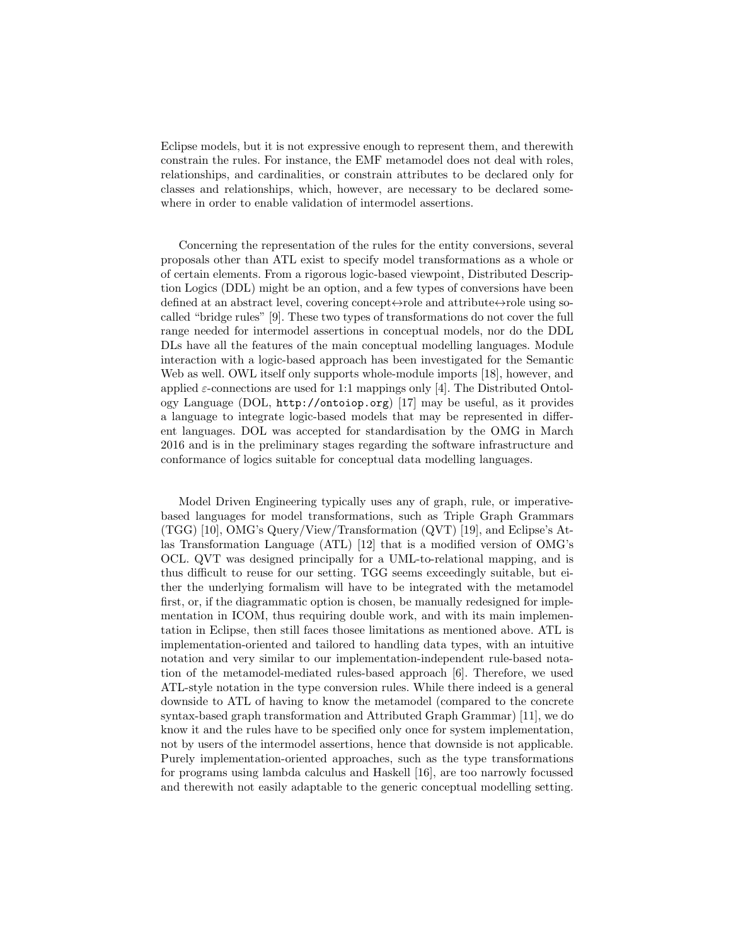Eclipse models, but it is not expressive enough to represent them, and therewith constrain the rules. For instance, the EMF metamodel does not deal with roles, relationships, and cardinalities, or constrain attributes to be declared only for classes and relationships, which, however, are necessary to be declared somewhere in order to enable validation of intermodel assertions.

Concerning the representation of the rules for the entity conversions, several proposals other than ATL exist to specify model transformations as a whole or of certain elements. From a rigorous logic-based viewpoint, Distributed Description Logics (DDL) might be an option, and a few types of conversions have been defined at an abstract level, covering concept $\leftrightarrow$ role and attribute $\leftrightarrow$ role using socalled "bridge rules" [9]. These two types of transformations do not cover the full range needed for intermodel assertions in conceptual models, nor do the DDL DLs have all the features of the main conceptual modelling languages. Module interaction with a logic-based approach has been investigated for the Semantic Web as well. OWL itself only supports whole-module imports [18], however, and applied  $\varepsilon$ -connections are used for 1:1 mappings only [4]. The Distributed Ontology Language (DOL, http://ontoiop.org) [17] may be useful, as it provides a language to integrate logic-based models that may be represented in different languages. DOL was accepted for standardisation by the OMG in March 2016 and is in the preliminary stages regarding the software infrastructure and conformance of logics suitable for conceptual data modelling languages.

Model Driven Engineering typically uses any of graph, rule, or imperativebased languages for model transformations, such as Triple Graph Grammars (TGG) [10], OMG's Query/View/Transformation (QVT) [19], and Eclipse's Atlas Transformation Language (ATL) [12] that is a modified version of OMG's OCL. QVT was designed principally for a UML-to-relational mapping, and is thus difficult to reuse for our setting. TGG seems exceedingly suitable, but either the underlying formalism will have to be integrated with the metamodel first, or, if the diagrammatic option is chosen, be manually redesigned for implementation in ICOM, thus requiring double work, and with its main implementation in Eclipse, then still faces thosee limitations as mentioned above. ATL is implementation-oriented and tailored to handling data types, with an intuitive notation and very similar to our implementation-independent rule-based notation of the metamodel-mediated rules-based approach [6]. Therefore, we used ATL-style notation in the type conversion rules. While there indeed is a general downside to ATL of having to know the metamodel (compared to the concrete syntax-based graph transformation and Attributed Graph Grammar) [11], we do know it and the rules have to be specified only once for system implementation, not by users of the intermodel assertions, hence that downside is not applicable. Purely implementation-oriented approaches, such as the type transformations for programs using lambda calculus and Haskell [16], are too narrowly focussed and therewith not easily adaptable to the generic conceptual modelling setting.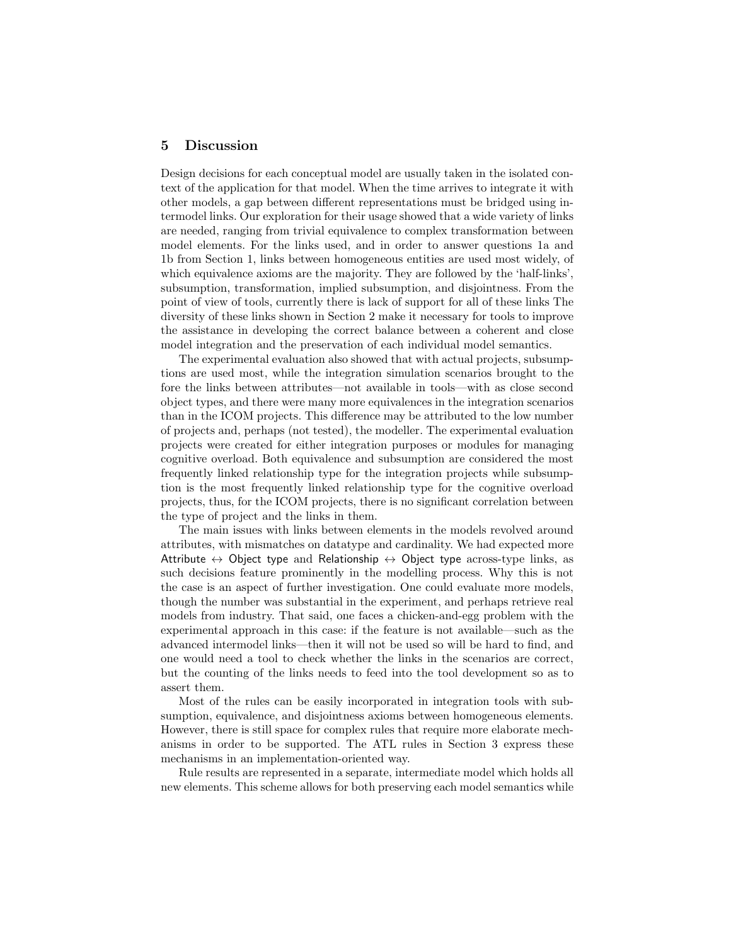### 5 Discussion

Design decisions for each conceptual model are usually taken in the isolated context of the application for that model. When the time arrives to integrate it with other models, a gap between different representations must be bridged using intermodel links. Our exploration for their usage showed that a wide variety of links are needed, ranging from trivial equivalence to complex transformation between model elements. For the links used, and in order to answer questions 1a and 1b from Section 1, links between homogeneous entities are used most widely, of which equivalence axioms are the majority. They are followed by the 'half-links', subsumption, transformation, implied subsumption, and disjointness. From the point of view of tools, currently there is lack of support for all of these links The diversity of these links shown in Section 2 make it necessary for tools to improve the assistance in developing the correct balance between a coherent and close model integration and the preservation of each individual model semantics.

The experimental evaluation also showed that with actual projects, subsumptions are used most, while the integration simulation scenarios brought to the fore the links between attributes—not available in tools—with as close second object types, and there were many more equivalences in the integration scenarios than in the ICOM projects. This difference may be attributed to the low number of projects and, perhaps (not tested), the modeller. The experimental evaluation projects were created for either integration purposes or modules for managing cognitive overload. Both equivalence and subsumption are considered the most frequently linked relationship type for the integration projects while subsumption is the most frequently linked relationship type for the cognitive overload projects, thus, for the ICOM projects, there is no significant correlation between the type of project and the links in them.

The main issues with links between elements in the models revolved around attributes, with mismatches on datatype and cardinality. We had expected more Attribute  $\leftrightarrow$  Object type and Relationship  $\leftrightarrow$  Object type across-type links, as such decisions feature prominently in the modelling process. Why this is not the case is an aspect of further investigation. One could evaluate more models, though the number was substantial in the experiment, and perhaps retrieve real models from industry. That said, one faces a chicken-and-egg problem with the experimental approach in this case: if the feature is not available—such as the advanced intermodel links—then it will not be used so will be hard to find, and one would need a tool to check whether the links in the scenarios are correct, but the counting of the links needs to feed into the tool development so as to assert them.

Most of the rules can be easily incorporated in integration tools with subsumption, equivalence, and disjointness axioms between homogeneous elements. However, there is still space for complex rules that require more elaborate mechanisms in order to be supported. The ATL rules in Section 3 express these mechanisms in an implementation-oriented way.

Rule results are represented in a separate, intermediate model which holds all new elements. This scheme allows for both preserving each model semantics while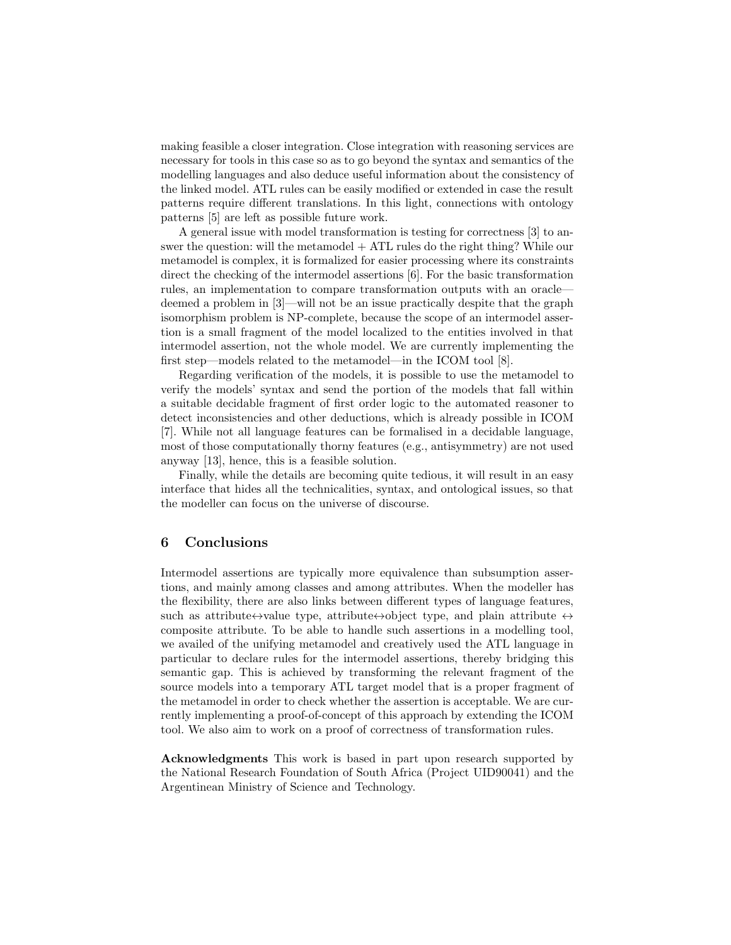making feasible a closer integration. Close integration with reasoning services are necessary for tools in this case so as to go beyond the syntax and semantics of the modelling languages and also deduce useful information about the consistency of the linked model. ATL rules can be easily modified or extended in case the result patterns require different translations. In this light, connections with ontology patterns [5] are left as possible future work.

A general issue with model transformation is testing for correctness [3] to answer the question: will the metamodel + ATL rules do the right thing? While our metamodel is complex, it is formalized for easier processing where its constraints direct the checking of the intermodel assertions [6]. For the basic transformation rules, an implementation to compare transformation outputs with an oracle deemed a problem in [3]—will not be an issue practically despite that the graph isomorphism problem is NP-complete, because the scope of an intermodel assertion is a small fragment of the model localized to the entities involved in that intermodel assertion, not the whole model. We are currently implementing the first step—models related to the metamodel—in the ICOM tool [8].

Regarding verification of the models, it is possible to use the metamodel to verify the models' syntax and send the portion of the models that fall within a suitable decidable fragment of first order logic to the automated reasoner to detect inconsistencies and other deductions, which is already possible in ICOM [7]. While not all language features can be formalised in a decidable language, most of those computationally thorny features (e.g., antisymmetry) are not used anyway [13], hence, this is a feasible solution.

Finally, while the details are becoming quite tedious, it will result in an easy interface that hides all the technicalities, syntax, and ontological issues, so that the modeller can focus on the universe of discourse.

# 6 Conclusions

Intermodel assertions are typically more equivalence than subsumption assertions, and mainly among classes and among attributes. When the modeller has the flexibility, there are also links between different types of language features, such as attribute  $\leftrightarrow$ value type, attribute  $\leftrightarrow$ object type, and plain attribute  $\leftrightarrow$ composite attribute. To be able to handle such assertions in a modelling tool, we availed of the unifying metamodel and creatively used the ATL language in particular to declare rules for the intermodel assertions, thereby bridging this semantic gap. This is achieved by transforming the relevant fragment of the source models into a temporary ATL target model that is a proper fragment of the metamodel in order to check whether the assertion is acceptable. We are currently implementing a proof-of-concept of this approach by extending the ICOM tool. We also aim to work on a proof of correctness of transformation rules.

Acknowledgments This work is based in part upon research supported by the National Research Foundation of South Africa (Project UID90041) and the Argentinean Ministry of Science and Technology.